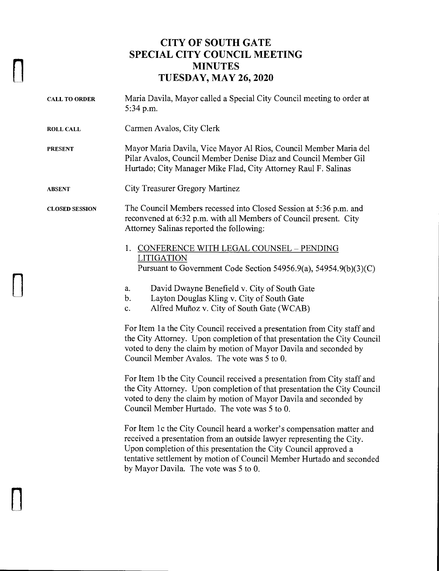## **CITY OF SOUTH GATE SPECIAL CITY COUNCIL MEETING MINUTES TUESDAY, MAY 26, 2020**

n

 $\prod$ 

 $\prod$ 

| <b>CALL TO ORDER</b>  | Maria Davila, Mayor called a Special City Council meeting to order at<br>5:34 p.m.                                                                                                                                                                                                                                                   |
|-----------------------|--------------------------------------------------------------------------------------------------------------------------------------------------------------------------------------------------------------------------------------------------------------------------------------------------------------------------------------|
| <b>ROLL CALL</b>      | Carmen Avalos, City Clerk                                                                                                                                                                                                                                                                                                            |
| <b>PRESENT</b>        | Mayor Maria Davila, Vice Mayor Al Rios, Council Member Maria del<br>Pilar Avalos, Council Member Denise Diaz and Council Member Gil<br>Hurtado; City Manager Mike Flad, City Attorney Raul F. Salinas                                                                                                                                |
| <b>ABSENT</b>         | City Treasurer Gregory Martinez                                                                                                                                                                                                                                                                                                      |
| <b>CLOSED SESSION</b> | The Council Members recessed into Closed Session at 5:36 p.m. and<br>reconvened at 6:32 p.m. with all Members of Council present. City<br>Attorney Salinas reported the following:                                                                                                                                                   |
|                       | 1. CONFERENCE WITH LEGAL COUNSEL - PENDING<br><b>LITIGATION</b><br>Pursuant to Government Code Section 54956.9(a), 54954.9(b)(3)(C)                                                                                                                                                                                                  |
|                       | David Dwayne Benefield v. City of South Gate<br>a.<br>Layton Douglas Kling v. City of South Gate<br>b.<br>Alfred Muñoz v. City of South Gate (WCAB)<br>$\mathbf{c}$ .                                                                                                                                                                |
|                       | For Item 1a the City Council received a presentation from City staff and<br>the City Attorney. Upon completion of that presentation the City Council<br>voted to deny the claim by motion of Mayor Davila and seconded by<br>Council Member Avalos. The vote was 5 to 0.                                                             |
|                       | For Item 1b the City Council received a presentation from City staff and<br>the City Attorney. Upon completion of that presentation the City Council<br>voted to deny the claim by motion of Mayor Davila and seconded by<br>Council Member Hurtado. The vote was 5 to 0.                                                            |
|                       | For Item 1c the City Council heard a worker's compensation matter and<br>received a presentation from an outside lawyer representing the City.<br>Upon completion of this presentation the City Council approved a<br>tentative settlement by motion of Council Member Hurtado and seconded<br>by Mayor Davila. The vote was 5 to 0. |
|                       |                                                                                                                                                                                                                                                                                                                                      |